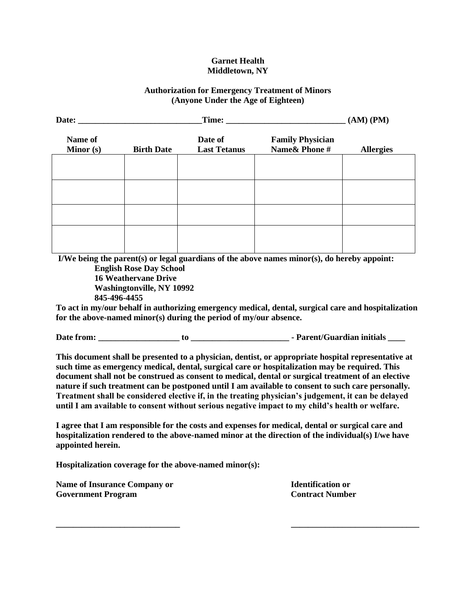## **Garnet Health Middletown, NY**

## **Authorization for Emergency Treatment of Minors (Anyone Under the Age of Eighteen)**

| Date: $\_\_$         | Time:                                                                                             |                                                                   | $(AM)$ $(PM)$                                                                                                                                                                                                                                                                                                                                                                                                                                                                                                                                                                                                                |                  |
|----------------------|---------------------------------------------------------------------------------------------------|-------------------------------------------------------------------|------------------------------------------------------------------------------------------------------------------------------------------------------------------------------------------------------------------------------------------------------------------------------------------------------------------------------------------------------------------------------------------------------------------------------------------------------------------------------------------------------------------------------------------------------------------------------------------------------------------------------|------------------|
| Name of<br>Minor (s) | <b>Birth Date</b>                                                                                 | Date of<br><b>Last Tetanus</b>                                    | <b>Family Physician</b><br>Name& Phone#                                                                                                                                                                                                                                                                                                                                                                                                                                                                                                                                                                                      | <b>Allergies</b> |
|                      |                                                                                                   |                                                                   |                                                                                                                                                                                                                                                                                                                                                                                                                                                                                                                                                                                                                              |                  |
|                      |                                                                                                   |                                                                   |                                                                                                                                                                                                                                                                                                                                                                                                                                                                                                                                                                                                                              |                  |
|                      |                                                                                                   |                                                                   |                                                                                                                                                                                                                                                                                                                                                                                                                                                                                                                                                                                                                              |                  |
| 845-496-4455         | <b>English Rose Day School</b><br><b>16 Weathervane Drive</b><br><b>Washingtonville, NY 10992</b> | for the above-named minor(s) during the period of my/our absence. | I/We being the parent(s) or legal guardians of the above names $minor(s)$ , do hereby appoint:<br>To act in my/our behalf in authorizing emergency medical, dental, surgical care and hospitalization                                                                                                                                                                                                                                                                                                                                                                                                                        |                  |
|                      |                                                                                                   |                                                                   |                                                                                                                                                                                                                                                                                                                                                                                                                                                                                                                                                                                                                              |                  |
|                      |                                                                                                   |                                                                   | This document shall be presented to a physician, dentist, or appropriate hospital representative at<br>such time as emergency medical, dental, surgical care or hospitalization may be required. This<br>document shall not be construed as consent to medical, dental or surgical treatment of an elective<br>nature if such treatment can be postponed until I am available to consent to such care personally.<br>Treatment shall be considered elective if, in the treating physician's judgement, it can be delayed<br>until I am available to consent without serious negative impact to my child's health or welfare. |                  |
| appointed herein.    |                                                                                                   |                                                                   | I agree that I am responsible for the costs and expenses for medical, dental or surgical care and<br>hospitalization rendered to the above-named minor at the direction of the individual(s) I/we have                                                                                                                                                                                                                                                                                                                                                                                                                       |                  |
|                      |                                                                                                   | Hospitalization coverage for the above-named minor(s):            |                                                                                                                                                                                                                                                                                                                                                                                                                                                                                                                                                                                                                              |                  |

**\_\_\_\_\_\_\_\_\_\_\_\_\_\_\_\_\_\_\_\_\_\_\_\_\_\_\_\_\_ \_\_\_\_\_\_\_\_\_\_\_\_\_\_\_\_\_\_\_\_\_\_\_\_\_\_\_\_\_\_**

Name of Insurance Company or **Identification or Government Program Contract Number**